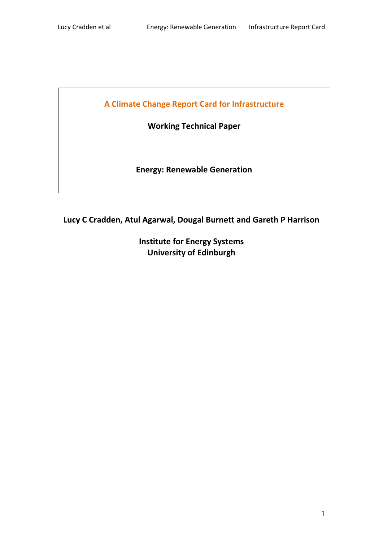**A Climate Change Report Card for Infrastructure**

**Working Technical Paper**

**Energy: Renewable Generation**

**Lucy C Cradden, Atul Agarwal, Dougal Burnett and Gareth P Harrison**

**Institute for Energy Systems University of Edinburgh**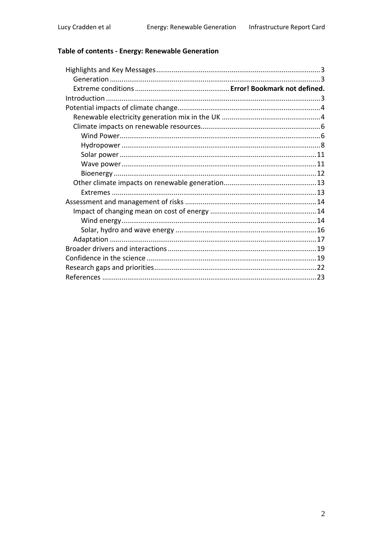# Table of contents - Energy: Renewable Generation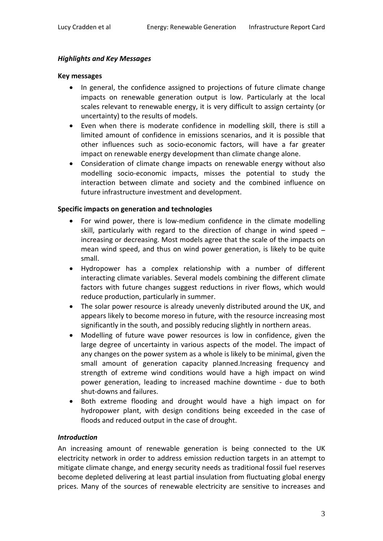## *Highlights and Key Messages*

#### **Key messages**

- In general, the confidence assigned to projections of future climate change impacts on renewable generation output is low. Particularly at the local scales relevant to renewable energy, it is very difficult to assign certainty (or uncertainty) to the results of models.
- Even when there is moderate confidence in modelling skill, there is still a limited amount of confidence in emissions scenarios, and it is possible that other influences such as socio-economic factors, will have a far greater impact on renewable energy development than climate change alone.
- Consideration of climate change impacts on renewable energy without also modelling socio-economic impacts, misses the potential to study the interaction between climate and society and the combined influence on future infrastructure investment and development.

#### **Specific impacts on generation and technologies**

- For wind power, there is low-medium confidence in the climate modelling skill, particularly with regard to the direction of change in wind speed – increasing or decreasing. Most models agree that the scale of the impacts on mean wind speed, and thus on wind power generation, is likely to be quite small.
- Hydropower has a complex relationship with a number of different interacting climate variables. Several models combining the different climate factors with future changes suggest reductions in river flows, which would reduce production, particularly in summer.
- The solar power resource is already unevenly distributed around the UK, and appears likely to become moreso in future, with the resource increasing most significantly in the south, and possibly reducing slightly in northern areas.
- Modelling of future wave power resources is low in confidence, given the large degree of uncertainty in various aspects of the model. The impact of any changes on the power system as a whole is likely to be minimal, given the small amount of generation capacity planned.Increasing frequency and strength of extreme wind conditions would have a high impact on wind power generation, leading to increased machine downtime - due to both shut-downs and failures.
- Both extreme flooding and drought would have a high impact on for hydropower plant, with design conditions being exceeded in the case of floods and reduced output in the case of drought.

#### *Introduction*

An increasing amount of renewable generation is being connected to the UK electricity network in order to address emission reduction targets in an attempt to mitigate climate change, and energy security needs as traditional fossil fuel reserves become depleted delivering at least partial insulation from fluctuating global energy prices. Many of the sources of renewable electricity are sensitive to increases and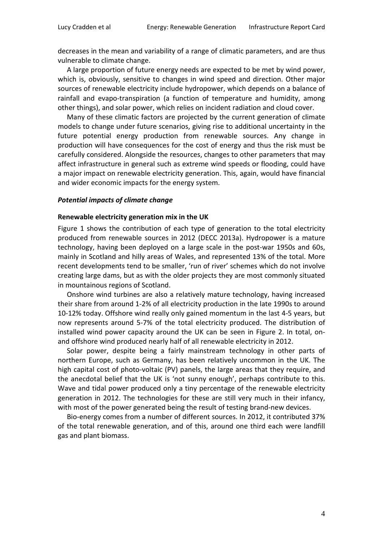decreases in the mean and variability of a range of climatic parameters, and are thus vulnerable to climate change.

A large proportion of future energy needs are expected to be met by wind power, which is, obviously, sensitive to changes in wind speed and direction. Other major sources of renewable electricity include hydropower, which depends on a balance of rainfall and evapo-transpiration (a function of temperature and humidity, among other things), and solar power, which relies on incident radiation and cloud cover.

Many of these climatic factors are projected by the current generation of climate models to change under future scenarios, giving rise to additional uncertainty in the future potential energy production from renewable sources. Any change in production will have consequences for the cost of energy and thus the risk must be carefully considered. Alongside the resources, changes to other parameters that may affect infrastructure in general such as extreme wind speeds or flooding, could have a major impact on renewable electricity generation. This, again, would have financial and wider economic impacts for the energy system.

#### *Potential impacts of climate change*

#### **Renewable electricity generation mix in the UK**

[Figure 1](#page-4-0) shows the contribution of each type of generation to the total electricity produced from renewable sources in 2012 (DECC 2013a). Hydropower is a mature technology, having been deployed on a large scale in the post-war 1950s and 60s, mainly in Scotland and hilly areas of Wales, and represented 13% of the total. More recent developments tend to be smaller, 'run of river' schemes which do not involve creating large dams, but as with the older projects they are most commonly situated in mountainous regions of Scotland.

Onshore wind turbines are also a relatively mature technology, having increased their share from around 1-2% of all electricity production in the late 1990s to around 10-12% today. Offshore wind really only gained momentum in the last 4-5 years, but now represents around 5-7% of the total electricity produced. The distribution of installed wind power capacity around the UK can be seen in [Figure 2.](#page-4-1) In total, onand offshore wind produced nearly half of all renewable electricity in 2012.

Solar power, despite being a fairly mainstream technology in other parts of northern Europe, such as Germany, has been relatively uncommon in the UK. The high capital cost of photo-voltaic (PV) panels, the large areas that they require, and the anecdotal belief that the UK is 'not sunny enough', perhaps contribute to this. Wave and tidal power produced only a tiny percentage of the renewable electricity generation in 2012. The technologies for these are still very much in their infancy, with most of the power generated being the result of testing brand-new devices.

Bio-energy comes from a number of different sources. In 2012, it contributed 37% of the total renewable generation, and of this, around one third each were landfill gas and plant biomass.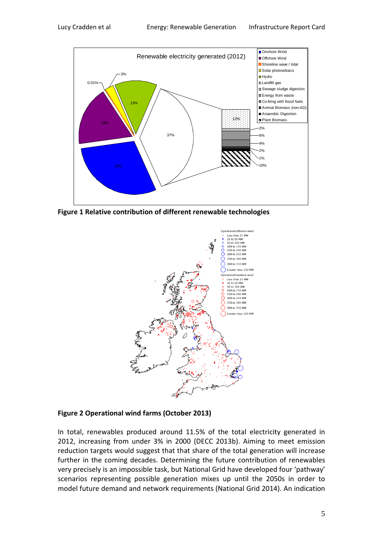

<span id="page-4-0"></span>**Figure 1 Relative contribution of different renewable technologies**



## <span id="page-4-1"></span>**Figure 2 Operational wind farms (October 2013)**

In total, renewables produced around 11.5% of the total electricity generated in 2012, increasing from under 3% in 2000 (DECC 2013b). Aiming to meet emission reduction targets would suggest that that share of the total generation will increase further in the coming decades. Determining the future contribution of renewables very precisely is an impossible task, but National Grid have developed four 'pathway' scenarios representing possible generation mixes up until the 2050s in order to model future demand and network requirements (National Grid 2014). An indication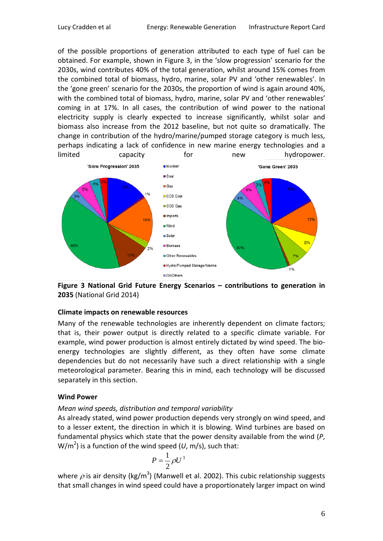of the possible proportions of generation attributed to each type of fuel can be obtained. For example, shown in [Figure 3,](#page-5-0) in the 'slow progression' scenario for the 2030s, wind contributes 40% of the total generation, whilst around 15% comes from the combined total of biomass, hydro, marine, solar PV and 'other renewables'. In the 'gone green' scenario for the 2030s, the proportion of wind is again around 40%, with the combined total of biomass, hydro, marine, solar PV and 'other renewables' coming in at 17%. In all cases, the contribution of wind power to the national electricity supply is clearly expected to increase significantly, whilst solar and biomass also increase from the 2012 baseline, but not quite so dramatically. The change in contribution of the hydro/marine/pumped storage category is much less, perhaps indicating a lack of confidence in new marine energy technologies and a limited capacity for new hydropower.



<span id="page-5-0"></span>**Figure 3 National Grid Future Energy Scenarios – contributions to generation in 2035** (National Grid 2014)

## **Climate impacts on renewable resources**

Many of the renewable technologies are inherently dependent on climate factors; that is, their power output is directly related to a specific climate variable. For example, wind power production is almost entirely dictated by wind speed. The bioenergy technologies are slightly different, as they often have some climate dependencies but do not necessarily have such a direct relationship with a single meteorological parameter. Bearing this in mind, each technology will be discussed separately in this section.

## **Wind Power**

## *Mean wind speeds, distribution and temporal variability*

As already stated, wind power production depends very strongly on wind speed, and to a lesser extent, the direction in which it is blowing. Wind turbines are based on fundamental physics which state that the power density available from the wind (*P*, W/m<sup>2</sup>) is a function of the wind speed (*U*, m/s), such that:

$$
P = \frac{1}{2}\rho U^3
$$

where  $\rho$  is air density (kg/m<sup>3</sup>) (Manwell et al. 2002). This cubic relationship suggests that small changes in wind speed could have a proportionately larger impact on wind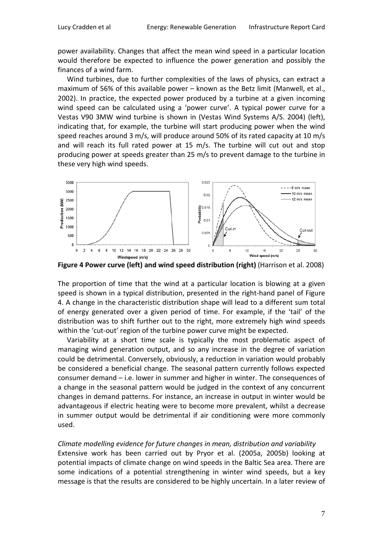power availability. Changes that affect the mean wind speed in a particular location would therefore be expected to influence the power generation and possibly the finances of a wind farm.

Wind turbines, due to further complexities of the laws of physics, can extract a maximum of 56% of this available power – known as the Betz limit (Manwell, et al., 2002). In practice, the expected power produced by a turbine at a given incoming wind speed can be calculated using a 'power curve'. A typical power curve for a Vestas V90 3MW wind turbine is shown in (Vestas Wind Systems A/S. 2004) (left), indicating that, for example, the turbine will start producing power when the wind speed reaches around 3 m/s, will produce around 50% of its rated capacity at 10 m/s and will reach its full rated power at 15 m/s. The turbine will cut out and stop producing power at speeds greater than 25 m/s to prevent damage to the turbine in these very high wind speeds.



<span id="page-6-0"></span>**Figure 4 Power curve (left) and wind speed distribution (right)** (Harrison et al. 2008)

The proportion of time that the wind at a particular location is blowing at a given speed is shown in a typical distribution, presented in the right-hand panel of [Figure](#page-6-0)  [4.](#page-6-0) A change in the characteristic distribution shape will lead to a different sum total of energy generated over a given period of time. For example, if the 'tail' of the distribution was to shift further out to the right, more extremely high wind speeds within the 'cut-out' region of the turbine power curve might be expected.

Variability at a short time scale is typically the most problematic aspect of managing wind generation output, and so any increase in the degree of variation could be detrimental. Conversely, obviously, a reduction in variation would probably be considered a beneficial change. The seasonal pattern currently follows expected consumer demand – i.e. lower in summer and higher in winter. The consequences of a change in the seasonal pattern would be judged in the context of any concurrent changes in demand patterns. For instance, an increase in output in winter would be advantageous if electric heating were to become more prevalent, whilst a decrease in summer output would be detrimental if air conditioning were more commonly used.

## *Climate modelling evidence for future changes in mean, distribution and variability*

Extensive work has been carried out by Pryor et al. (2005a, 2005b) looking at potential impacts of climate change on wind speeds in the Baltic Sea area. There are some indications of a potential strengthening in winter wind speeds, but a key message is that the results are considered to be highly uncertain. In a later review of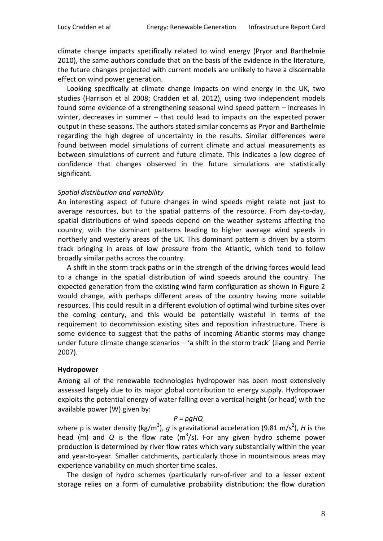climate change impacts specifically related to wind energy (Pryor and Barthelmie 2010), the same authors conclude that on the basis of the evidence in the literature, the future changes projected with current models are unlikely to have a discernable effect on wind power generation.

Looking specifically at climate change impacts on wind energy in the UK, two studies (Harrison et al 2008; Cradden et al. 2012), using two independent models found some evidence of a strengthening seasonal wind speed pattern – increases in winter, decreases in summer – that could lead to impacts on the expected power output in these seasons. The authors stated similar concerns as Pryor and Barthelmie regarding the high degree of uncertainty in the results. Similar differences were found between model simulations of current climate and actual measurements as between simulations of current and future climate. This indicates a low degree of confidence that changes observed in the future simulations are statistically significant.

#### *Spatial distribution and variability*

An interesting aspect of future changes in wind speeds might relate not just to average resources, but to the spatial patterns of the resource. From day-to-day, spatial distributions of wind speeds depend on the weather systems affecting the country, with the dominant patterns leading to higher average wind speeds in northerly and westerly areas of the UK. This dominant pattern is driven by a storm track bringing in areas of low pressure from the Atlantic, which tend to follow broadly similar paths across the country.

A shift in the storm track paths or in the strength of the driving forces would lead to a change in the spatial distribution of wind speeds around the country. The expected generation from the existing wind farm configuration as shown in [Figure 2](#page-4-1) would change, with perhaps different areas of the country having more suitable resources. This could result in a different evolution of optimal wind turbine sites over the coming century, and this would be potentially wasteful in terms of the requirement to decommission existing sites and reposition infrastructure. There is some evidence to suggest that the paths of incoming Atlantic storms may change under future climate change scenarios – 'a shift in the storm track' (Jiang and Perrie 2007).

#### **Hydropower**

Among all of the renewable technologies hydropower has been most extensively assessed largely due to its major global contribution to energy supply. Hydropower exploits the potential energy of water falling over a vertical height (or head) with the available power (W) given by:

#### *P = ρgHQ*

where ρ is water density (kg/m<sup>3</sup>), *g* is gravitational acceleration (9.81 m/s<sup>2</sup>), *H* is the head (m) and *Q* is the flow rate (m<sup>3</sup>/s). For any given hydro scheme power production is determined by river flow rates which vary substantially within the year and year-to-year. Smaller catchments, particularly those in mountainous areas may experience variability on much shorter time scales.

The design of hydro schemes (particularly run-of-river and to a lesser extent storage relies on a form of cumulative probability distribution: the flow duration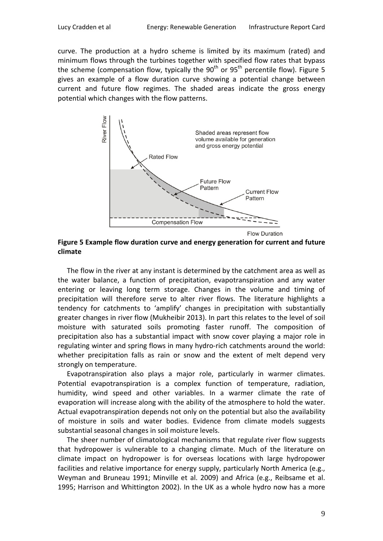curve. The production at a hydro scheme is limited by its maximum (rated) and minimum flows through the turbines together with specified flow rates that bypass the scheme (compensation flow, typically the  $90<sup>th</sup>$  or  $95<sup>th</sup>$  percentile flow). [Figure 5](#page-8-0) gives an example of a flow duration curve showing a potential change between current and future flow regimes. The shaded areas indicate the gross energy potential which changes with the flow patterns.



<span id="page-8-0"></span>**Figure 5 Example flow duration curve and energy generation for current and future climate**

The flow in the river at any instant is determined by the catchment area as well as the water balance, a function of precipitation, evapotranspiration and any water entering or leaving long term storage. Changes in the volume and timing of precipitation will therefore serve to alter river flows. The literature highlights a tendency for catchments to 'amplify' changes in precipitation with substantially greater changes in river flow (Mukheibir 2013). In part this relates to the level of soil moisture with saturated soils promoting faster runoff. The composition of precipitation also has a substantial impact with snow cover playing a major role in regulating winter and spring flows in many hydro-rich catchments around the world: whether precipitation falls as rain or snow and the extent of melt depend very strongly on temperature.

Evapotranspiration also plays a major role, particularly in warmer climates. Potential evapotranspiration is a complex function of temperature, radiation, humidity, wind speed and other variables. In a warmer climate the rate of evaporation will increase along with the ability of the atmosphere to hold the water. Actual evapotranspiration depends not only on the potential but also the availability of moisture in soils and water bodies. Evidence from climate models suggests substantial seasonal changes in soil moisture levels.

The sheer number of climatological mechanisms that regulate river flow suggests that hydropower is vulnerable to a changing climate. Much of the literature on climate impact on hydropower is for overseas locations with large hydropower facilities and relative importance for energy supply, particularly North America (e.g., Weyman and Bruneau 1991; Minville et al. 2009) and Africa (e.g., Reibsame et al. 1995; Harrison and Whittington 2002). In the UK as a whole hydro now has a more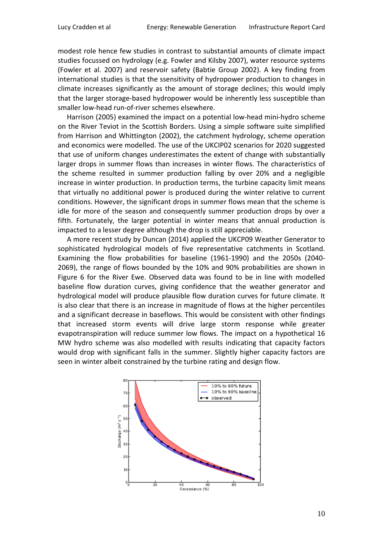modest role hence few studies in contrast to substantial amounts of climate impact studies focussed on hydrology (e.g. Fowler and Kilsby 2007), water resource systems (Fowler et al. 2007) and reservoir safety (Babtie Group 2002). A key finding from international studies is that the ssensitivity of hydropower production to changes in climate increases significantly as the amount of storage declines; this would imply that the larger storage-based hydropower would be inherently less susceptible than smaller low-head run-of-river schemes elsewhere.

Harrison (2005) examined the impact on a potential low-head mini-hydro scheme on the River Teviot in the Scottish Borders. Using a simple software suite simplified from Harrison and Whittington (2002), the catchment hydrology, scheme operation and economics were modelled. The use of the UKCIP02 scenarios for 2020 suggested that use of uniform changes underestimates the extent of change with substantially larger drops in summer flows than increases in winter flows. The characteristics of the scheme resulted in summer production falling by over 20% and a negligible increase in winter production. In production terms, the turbine capacity limit means that virtually no additional power is produced during the winter relative to current conditions. However, the significant drops in summer flows mean that the scheme is idle for more of the season and consequently summer production drops by over a fifth. Fortunately, the larger potential in winter means that annual production is impacted to a lesser degree although the drop is still appreciable.

A more recent study by Duncan (2014) applied the UKCP09 Weather Generator to sophisticated hydrological models of five representative catchments in Scotland. Examining the flow probabilities for baseline (1961-1990) and the 2050s (2040- 2069), the range of flows bounded by the 10% and 90% probabilities are shown in [Figure 6](#page-10-0) for the River Ewe. Observed data was found to be in line with modelled baseline flow duration curves, giving confidence that the weather generator and hydrological model will produce plausible flow duration curves for future climate. It is also clear that there is an increase in magnitude of flows at the higher percentiles and a significant decrease in baseflows. This would be consistent with other findings that increased storm events will drive large storm response while greater evapotranspiration will reduce summer low flows. The impact on a hypothetical 16 MW hydro scheme was also modelled with results indicating that capacity factors would drop with significant falls in the summer. Slightly higher capacity factors are seen in winter albeit constrained by the turbine rating and design flow.

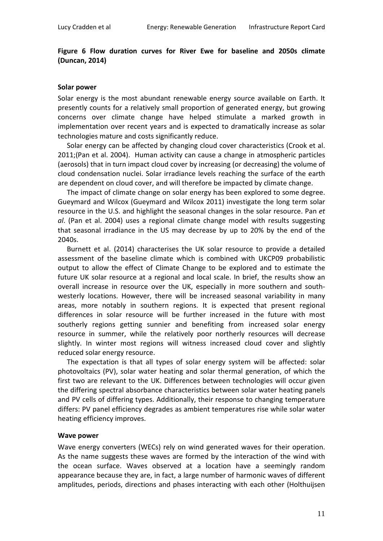## <span id="page-10-0"></span>**Figure 6 Flow duration curves for River Ewe for baseline and 2050s climate (Duncan, 2014)**

#### **Solar power**

Solar energy is the most abundant renewable energy source available on Earth. It presently counts for a relatively small proportion of generated energy, but growing concerns over climate change have helped stimulate a marked growth in implementation over recent years and is expected to dramatically increase as solar technologies mature and costs significantly reduce.

Solar energy can be affected by changing cloud cover characteristics (Crook et al. 2011;(Pan et al. 2004). Human activity can cause a change in atmospheric particles (aerosols) that in turn impact cloud cover by increasing (or decreasing) the volume of cloud condensation nuclei. Solar irradiance levels reaching the surface of the earth are dependent on cloud cover, and will therefore be impacted by climate change.

The impact of climate change on solar energy has been explored to some degree. Gueymard and Wilcox (Gueymard and Wilcox 2011) investigate the long term solar resource in the U.S. and highlight the seasonal changes in the solar resource. Pan *et al*. (Pan et al. 2004) uses a regional climate change model with results suggesting that seasonal irradiance in the US may decrease by up to 20% by the end of the 2040s.

Burnett et al. (2014) characterises the UK solar resource to provide a detailed assessment of the baseline climate which is combined with UKCP09 probabilistic output to allow the effect of Climate Change to be explored and to estimate the future UK solar resource at a regional and local scale. In brief, the results show an overall increase in resource over the UK, especially in more southern and southwesterly locations. However, there will be increased seasonal variability in many areas, more notably in southern regions. It is expected that present regional differences in solar resource will be further increased in the future with most southerly regions getting sunnier and benefiting from increased solar energy resource in summer, while the relatively poor northerly resources will decrease slightly. In winter most regions will witness increased cloud cover and slightly reduced solar energy resource.

The expectation is that all types of solar energy system will be affected: solar photovoltaics (PV), solar water heating and solar thermal generation, of which the first two are relevant to the UK. Differences between technologies will occur given the differing spectral absorbance characteristics between solar water heating panels and PV cells of differing types. Additionally, their response to changing temperature differs: PV panel efficiency degrades as ambient temperatures rise while solar water heating efficiency improves.

#### **Wave power**

Wave energy converters (WECs) rely on wind generated waves for their operation. As the name suggests these waves are formed by the interaction of the wind with the ocean surface. Waves observed at a location have a seemingly random appearance because they are, in fact, a large number of harmonic waves of different amplitudes, periods, directions and phases interacting with each other (Holthuijsen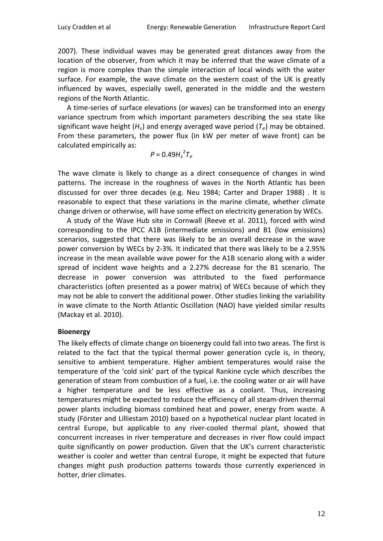2007). These individual waves may be generated great distances away from the location of the observer, from which it may be inferred that the wave climate of a region is more complex than the simple interaction of local winds with the water surface. For example, the wave climate on the western coast of the UK is greatly influenced by waves, especially swell, generated in the middle and the western regions of the North Atlantic.

A time-series of surface elevations (or waves) can be transformed into an energy variance spectrum from which important parameters describing the sea state like significant wave height (*Hs*) and energy averaged wave period (*Te*) may be obtained. From these parameters, the power flux (in kW per meter of wave front) can be calculated empirically as:

$$
P=0.49H_s^2T_e
$$

The wave climate is likely to change as a direct consequence of changes in wind patterns. The increase in the roughness of waves in the North Atlantic has been discussed for over three decades (e.g. Neu 1984; Carter and Draper 1988) . It is reasonable to expect that these variations in the marine climate, whether climate change driven or otherwise, will have some effect on electricity generation by WECs.

A study of the Wave Hub site in Cornwall (Reeve et al. 2011), forced with wind corresponding to the IPCC A1B (intermediate emissions) and B1 (low emissions) scenarios, suggested that there was likely to be an overall decrease in the wave power conversion by WECs by 2-3%. It indicated that there was likely to be a 2.95% increase in the mean available wave power for the A1B scenario along with a wider spread of incident wave heights and a 2.27% decrease for the B1 scenario. The decrease in power conversion was attributed to the fixed performance characteristics (often presented as a power matrix) of WECs because of which they may not be able to convert the additional power. Other studies linking the variability in wave climate to the North Atlantic Oscillation (NAO) have yielded similar results (Mackay et al. 2010).

#### **Bioenergy**

The likely effects of climate change on bioenergy could fall into two areas. The first is related to the fact that the typical thermal power generation cycle is, in theory, sensitive to ambient temperature. Higher ambient temperatures would raise the temperature of the 'cold sink' part of the typical Rankine cycle which describes the generation of steam from combustion of a fuel, i.e. the cooling water or air will have a higher temperature and be less effective as a coolant. Thus, increasing temperatures might be expected to reduce the efficiency of all steam-driven thermal power plants including biomass combined heat and power, energy from waste. A study (Förster and Lilliestam 2010) based on a hypothetical nuclear plant located in central Europe, but applicable to any river-cooled thermal plant, showed that concurrent increases in river temperature and decreases in river flow could impact quite significantly on power production. Given that the UK's current characteristic weather is cooler and wetter than central Europe, it might be expected that future changes might push production patterns towards those currently experienced in hotter, drier climates.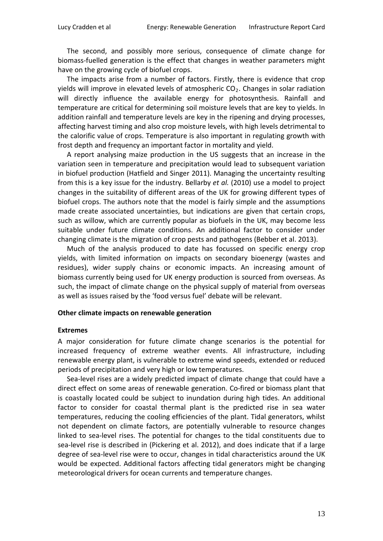The second, and possibly more serious, consequence of climate change for biomass-fuelled generation is the effect that changes in weather parameters might have on the growing cycle of biofuel crops.

The impacts arise from a number of factors. Firstly, there is evidence that crop yields will improve in elevated levels of atmospheric  $CO<sub>2</sub>$ . Changes in solar radiation will directly influence the available energy for photosynthesis. Rainfall and temperature are critical for determining soil moisture levels that are key to yields. In addition rainfall and temperature levels are key in the ripening and drying processes, affecting harvest timing and also crop moisture levels, with high levels detrimental to the calorific value of crops. Temperature is also important in regulating growth with frost depth and frequency an important factor in mortality and yield.

A report analysing maize production in the US suggests that an increase in the variation seen in temperature and precipitation would lead to subsequent variation in biofuel production (Hatfield and Singer 2011). Managing the uncertainty resulting from this is a key issue for the industry. Bellarby *et al.* (2010) use a model to project changes in the suitability of different areas of the UK for growing different types of biofuel crops. The authors note that the model is fairly simple and the assumptions made create associated uncertainties, but indications are given that certain crops, such as willow, which are currently popular as biofuels in the UK, may become less suitable under future climate conditions. An additional factor to consider under changing climate is the migration of crop pests and pathogens (Bebber et al. 2013).

Much of the analysis produced to date has focussed on specific energy crop yields, with limited information on impacts on secondary bioenergy (wastes and residues), wider supply chains or economic impacts. An increasing amount of biomass currently being used for UK energy production is sourced from overseas. As such, the impact of climate change on the physical supply of material from overseas as well as issues raised by the 'food versus fuel' debate will be relevant.

#### **Other climate impacts on renewable generation**

#### **Extremes**

A major consideration for future climate change scenarios is the potential for increased frequency of extreme weather events. All infrastructure, including renewable energy plant, is vulnerable to extreme wind speeds, extended or reduced periods of precipitation and very high or low temperatures.

Sea-level rises are a widely predicted impact of climate change that could have a direct effect on some areas of renewable generation. Co-fired or biomass plant that is coastally located could be subject to inundation during high tides. An additional factor to consider for coastal thermal plant is the predicted rise in sea water temperatures, reducing the cooling efficiencies of the plant. Tidal generators, whilst not dependent on climate factors, are potentially vulnerable to resource changes linked to sea-level rises. The potential for changes to the tidal constituents due to sea-level rise is described in (Pickering et al. 2012), and does indicate that if a large degree of sea-level rise were to occur, changes in tidal characteristics around the UK would be expected. Additional factors affecting tidal generators might be changing meteorological drivers for ocean currents and temperature changes.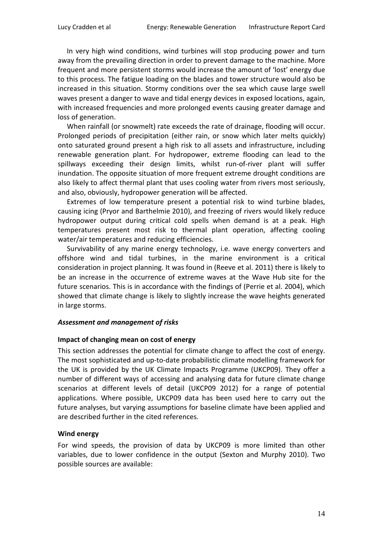In very high wind conditions, wind turbines will stop producing power and turn away from the prevailing direction in order to prevent damage to the machine. More frequent and more persistent storms would increase the amount of 'lost' energy due to this process. The fatigue loading on the blades and tower structure would also be increased in this situation. Stormy conditions over the sea which cause large swell waves present a danger to wave and tidal energy devices in exposed locations, again, with increased frequencies and more prolonged events causing greater damage and loss of generation.

When rainfall (or snowmelt) rate exceeds the rate of drainage, flooding will occur. Prolonged periods of precipitation (either rain, or snow which later melts quickly) onto saturated ground present a high risk to all assets and infrastructure, including renewable generation plant. For hydropower, extreme flooding can lead to the spillways exceeding their design limits, whilst run-of-river plant will suffer inundation. The opposite situation of more frequent extreme drought conditions are also likely to affect thermal plant that uses cooling water from rivers most seriously, and also, obviously, hydropower generation will be affected.

Extremes of low temperature present a potential risk to wind turbine blades, causing icing (Pryor and Barthelmie 2010), and freezing of rivers would likely reduce hydropower output during critical cold spells when demand is at a peak. High temperatures present most risk to thermal plant operation, affecting cooling water/air temperatures and reducing efficiencies.

Survivability of any marine energy technology, i.e. wave energy converters and offshore wind and tidal turbines, in the marine environment is a critical consideration in project planning. It was found in (Reeve et al. 2011) there is likely to be an increase in the occurrence of extreme waves at the Wave Hub site for the future scenarios. This is in accordance with the findings of (Perrie et al. 2004), which showed that climate change is likely to slightly increase the wave heights generated in large storms.

#### *Assessment and management of risks*

#### **Impact of changing mean on cost of energy**

This section addresses the potential for climate change to affect the cost of energy. The most sophisticated and up-to-date probabilistic climate modelling framework for the UK is provided by the UK Climate Impacts Programme (UKCP09). They offer a number of different ways of accessing and analysing data for future climate change scenarios at different levels of detail (UKCP09 2012) for a range of potential applications. Where possible, UKCP09 data has been used here to carry out the future analyses, but varying assumptions for baseline climate have been applied and are described further in the cited references.

#### **Wind energy**

For wind speeds, the provision of data by UKCP09 is more limited than other variables, due to lower confidence in the output (Sexton and Murphy 2010). Two possible sources are available: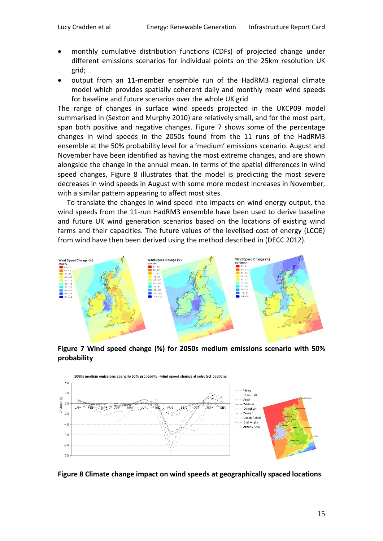- monthly cumulative distribution functions (CDFs) of projected change under different emissions scenarios for individual points on the 25km resolution UK grid;
- output from an 11-member ensemble run of the HadRM3 regional climate model which provides spatially coherent daily and monthly mean wind speeds for baseline and future scenarios over the whole UK grid

The range of changes in surface wind speeds projected in the UKCP09 model summarised in (Sexton and Murphy 2010) are relatively small, and for the most part, span both positive and negative changes. [Figure 7](#page-14-0) shows some of the percentage changes in wind speeds in the 2050s found from the 11 runs of the HadRM3 ensemble at the 50% probability level for a 'medium' emissions scenario. August and November have been identified as having the most extreme changes, and are shown alongside the change in the annual mean. In terms of the spatial differences in wind speed changes, [Figure 8](#page-14-1) illustrates that the model is predicting the most severe decreases in wind speeds in August with some more modest increases in November, with a similar pattern appearing to affect most sites.

To translate the changes in wind speed into impacts on wind energy output, the wind speeds from the 11-run HadRM3 ensemble have been used to derive baseline and future UK wind generation scenarios based on the locations of existing wind farms and their capacities. The future values of the levelised cost of energy (LCOE) from wind have then been derived using the method described in (DECC 2012).



<span id="page-14-0"></span>**Figure 7 Wind speed change (%) for 2050s medium emissions scenario with 50% probability**



<span id="page-14-1"></span>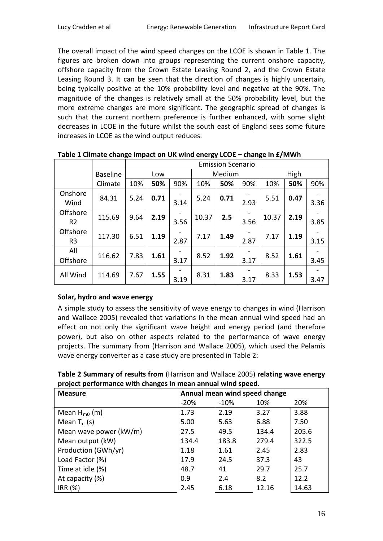The overall impact of the wind speed changes on the LCOE is shown in [Table 1.](#page-15-0) The figures are broken down into groups representing the current onshore capacity, offshore capacity from the Crown Estate Leasing Round 2, and the Crown Estate Leasing Round 3. It can be seen that the direction of changes is highly uncertain, being typically positive at the 10% probability level and negative at the 90%. The magnitude of the changes is relatively small at the 50% probability level, but the more extreme changes are more significant. The geographic spread of changes is such that the current northern preference is further enhanced, with some slight decreases in LCOE in the future whilst the south east of England sees some future increases in LCOE as the wind output reduces.

|                            |                 |      | <b>Emission Scenario</b> |      |        |      |      |       |      |      |
|----------------------------|-----------------|------|--------------------------|------|--------|------|------|-------|------|------|
|                            | <b>Baseline</b> |      | Low                      |      | Medium |      |      | High  |      |      |
|                            | Climate         | 10%  | 50%                      | 90%  | 10%    | 50%  | 90%  | 10%   | 50%  | 90%  |
| Onshore<br>Wind            | 84.31           | 5.24 | 0.71                     | 3.14 | 5.24   | 0.71 | 2.93 | 5.51  | 0.47 | 3.36 |
| Offshore<br>R <sub>2</sub> | 115.69          | 9.64 | 2.19                     | 3.56 | 10.37  | 2.5  | 3.56 | 10.37 | 2.19 | 3.85 |
| Offshore<br>R <sub>3</sub> | 117.30          | 6.51 | 1.19                     | 2.87 | 7.17   | 1.49 | 2.87 | 7.17  | 1.19 | 3.15 |
| All<br>Offshore            | 116.62          | 7.83 | 1.61                     | 3.17 | 8.52   | 1.92 | 3.17 | 8.52  | 1.61 | 3.45 |
| All Wind                   | 114.69          | 7.67 | 1.55                     | 3.19 | 8.31   | 1.83 | 3.17 | 8.33  | 1.53 | 3.47 |

<span id="page-15-0"></span>**Table 1 Climate change impact on UK wind energy LCOE – change in £/MWh**

## **Solar, hydro and wave energy**

A simple study to assess the sensitivity of wave energy to changes in wind (Harrison and Wallace 2005) revealed that variations in the mean annual wind speed had an effect on not only the significant wave height and energy period (and therefore power), but also on other aspects related to the performance of wave energy projects. The summary from (Harrison and Wallace 2005), which used the Pelamis wave energy converter as a case study are presented in Table 2:

**Table 2 Summary of results from** (Harrison and Wallace 2005) **relating wave energy project performance with changes in mean annual wind speed.**

| <b>Measure</b>         | Annual mean wind speed change |        |       |       |  |
|------------------------|-------------------------------|--------|-------|-------|--|
|                        | $-20%$                        | $-10%$ | 10%   | 20%   |  |
| Mean $H_{m0}$ (m)      | 1.73                          | 2.19   | 3.27  | 3.88  |  |
| Mean $T_e$ (s)         | 5.00                          | 5.63   | 6.88  | 7.50  |  |
| Mean wave power (kW/m) | 27.5                          | 49.5   | 134.4 | 205.6 |  |
| Mean output (kW)       | 134.4                         | 183.8  | 279.4 | 322.5 |  |
| Production (GWh/yr)    | 1.18                          | 1.61   | 2.45  | 2.83  |  |
| Load Factor (%)        | 17.9                          | 24.5   | 37.3  | 43    |  |
| Time at idle (%)       | 48.7                          | 41     | 29.7  | 25.7  |  |
| At capacity (%)        | 0.9                           | 2.4    | 8.2   | 12.2  |  |
| IRR(%)                 | 2.45                          | 6.18   | 12.16 | 14.63 |  |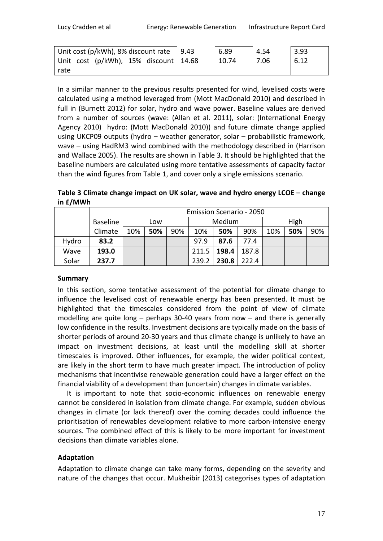| Unit cost (p/kWh), 8% discount rate $\vert$ 9.43 | 6.89  | 4.54 | 3.93 |
|--------------------------------------------------|-------|------|------|
| Unit cost (p/kWh), 15% discount 14.68            | 10.74 | 7.06 | 6.12 |
| rate                                             |       |      |      |

In a similar manner to the previous results presented for wind, levelised costs were calculated using a method leveraged from (Mott MacDonald 2010) and described in full in (Burnett 2012) for solar, hydro and wave power. Baseline values are derived from a number of sources (wave: (Allan et al. 2011), solar: (International Energy Agency 2010) hydro: (Mott MacDonald 2010)) and future climate change applied using UKCP09 outputs (hydro – weather generator, solar – probabilistic framework, wave – using HadRM3 wind combined with the methodology described in (Harrison and Wallace 2005). The results are shown in Table 3. It should be highlighted that the baseline numbers are calculated using more tentative assessments of capacity factor than the wind figures from [Table 1,](#page-15-0) and cover only a single emissions scenario.

**Table 3 Climate change impact on UK solar, wave and hydro energy LCOE – change in £/MWh**

|       |                 |     | <b>Emission Scenario - 2050</b> |     |       |        |       |      |     |     |
|-------|-----------------|-----|---------------------------------|-----|-------|--------|-------|------|-----|-----|
|       | <b>Baseline</b> | Low |                                 |     |       | Medium |       | High |     |     |
|       | Climate         | 10% | 50%                             | 90% | 10%   | 50%    | 90%   | 10%  | 50% | 90% |
| Hydro | 83.2            |     |                                 |     | 97.9  | 87.6   | 77.4  |      |     |     |
| Wave  | 193.0           |     |                                 |     | 211.5 | 198.4  | 187.8 |      |     |     |
| Solar | 237.7           |     |                                 |     | 239.2 | 230.8  | 222.4 |      |     |     |

## **Summary**

In this section, some tentative assessment of the potential for climate change to influence the levelised cost of renewable energy has been presented. It must be highlighted that the timescales considered from the point of view of climate modelling are quite long – perhaps 30-40 years from now – and there is generally low confidence in the results. Investment decisions are typically made on the basis of shorter periods of around 20-30 years and thus climate change is unlikely to have an impact on investment decisions, at least until the modelling skill at shorter timescales is improved. Other influences, for example, the wider political context, are likely in the short term to have much greater impact. The introduction of policy mechanisms that incentivise renewable generation could have a larger effect on the financial viability of a development than (uncertain) changes in climate variables.

It is important to note that socio-economic influences on renewable energy cannot be considered in isolation from climate change. For example, sudden obvious changes in climate (or lack thereof) over the coming decades could influence the prioritisation of renewables development relative to more carbon-intensive energy sources. The combined effect of this is likely to be more important for investment decisions than climate variables alone.

## **Adaptation**

Adaptation to climate change can take many forms, depending on the severity and nature of the changes that occur. Mukheibir (2013) categorises types of adaptation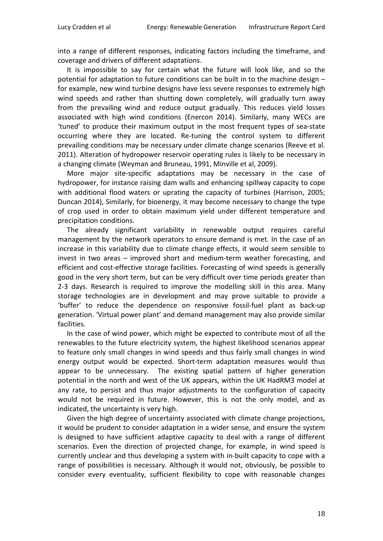into a range of different responses, indicating factors including the timeframe, and coverage and drivers of different adaptations.

It is impossible to say for certain what the future will look like, and so the potential for adaptation to future conditions can be built in to the machine design – for example, new wind turbine designs have less severe responses to extremely high wind speeds and rather than shutting down completely, will gradually turn away from the prevailing wind and reduce output gradually. This reduces yield losses associated with high wind conditions (Enercon 2014). Similarly, many WECs are 'tuned' to produce their maximum output in the most frequent types of sea-state occurring where they are located. Re-tuning the control system to different prevailing conditions may be necessary under climate change scenarios (Reeve et al. 2011). Alteration of hydropower reservoir operating rules is likely to be necessary in a changing climate (Weyman and Bruneau, 1991, Minville et al, 2009).

More major site-specific adaptations may be necessary in the case of hydropower, for instance raising dam walls and enhancing spillway capacity to cope with additional flood waters or uprating the capacity of turbines (Harrison, 2005; Duncan 2014), Similarly, for bioenergy, it may become necessary to change the type of crop used in order to obtain maximum yield under different temperature and precipitation conditions.

The already significant variability in renewable output requires careful management by the network operators to ensure demand is met. In the case of an increase in this variability due to climate change effects, it would seem sensible to invest in two areas – improved short and medium-term weather forecasting, and efficient and cost-effective storage facilities. Forecasting of wind speeds is generally good in the very short term, but can be very difficult over time periods greater than 2-3 days. Research is required to improve the modelling skill in this area. Many storage technologies are in development and may prove suitable to provide a 'buffer' to reduce the dependence on responsive fossil-fuel plant as back-up generation. 'Virtual power plant' and demand management may also provide similar facilities.

In the case of wind power, which might be expected to contribute most of all the renewables to the future electricity system, the highest likelihood scenarios appear to feature only small changes in wind speeds and thus fairly small changes in wind energy output would be expected. Short-term adaptation measures would thus appear to be unnecessary. The existing spatial pattern of higher generation potential in the north and west of the UK appears, within the UK HadRM3 model at any rate, to persist and thus major adjustments to the configuration of capacity would not be required in future. However, this is not the only model, and as indicated, the uncertainty is very high.

Given the high degree of uncertainty associated with climate change projections, it would be prudent to consider adaptation in a wider sense, and ensure the system is designed to have sufficient adaptive capacity to deal with a range of different scenarios. Even the direction of projected change, for example, in wind speed is currently unclear and thus developing a system with in-built capacity to cope with a range of possibilities is necessary. Although it would not, obviously, be possible to consider every eventuality, sufficient flexibility to cope with reasonable changes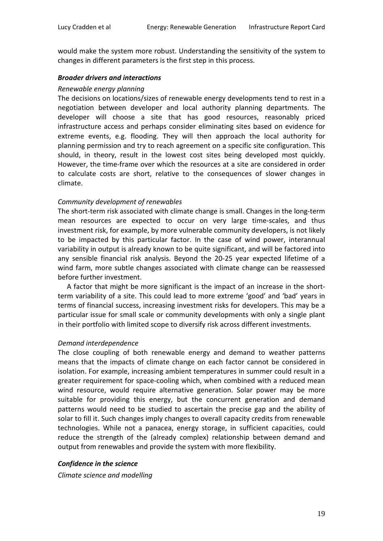would make the system more robust. Understanding the sensitivity of the system to changes in different parameters is the first step in this process.

#### *Broader drivers and interactions*

#### *Renewable energy planning*

The decisions on locations/sizes of renewable energy developments tend to rest in a negotiation between developer and local authority planning departments. The developer will choose a site that has good resources, reasonably priced infrastructure access and perhaps consider eliminating sites based on evidence for extreme events, e.g. flooding. They will then approach the local authority for planning permission and try to reach agreement on a specific site configuration. This should, in theory, result in the lowest cost sites being developed most quickly. However, the time-frame over which the resources at a site are considered in order to calculate costs are short, relative to the consequences of slower changes in climate.

#### *Community development of renewables*

The short-term risk associated with climate change is small. Changes in the long-term mean resources are expected to occur on very large time-scales, and thus investment risk, for example, by more vulnerable community developers, is not likely to be impacted by this particular factor. In the case of wind power, interannual variability in output is already known to be quite significant, and will be factored into any sensible financial risk analysis. Beyond the 20-25 year expected lifetime of a wind farm, more subtle changes associated with climate change can be reassessed before further investment.

A factor that might be more significant is the impact of an increase in the shortterm variability of a site. This could lead to more extreme 'good' and 'bad' years in terms of financial success, increasing investment risks for developers. This may be a particular issue for small scale or community developments with only a single plant in their portfolio with limited scope to diversify risk across different investments.

## *Demand interdependence*

The close coupling of both renewable energy and demand to weather patterns means that the impacts of climate change on each factor cannot be considered in isolation. For example, increasing ambient temperatures in summer could result in a greater requirement for space-cooling which, when combined with a reduced mean wind resource, would require alternative generation. Solar power may be more suitable for providing this energy, but the concurrent generation and demand patterns would need to be studied to ascertain the precise gap and the ability of solar to fill it. Such changes imply changes to overall capacity credits from renewable technologies. While not a panacea, energy storage, in sufficient capacities, could reduce the strength of the (already complex) relationship between demand and output from renewables and provide the system with more flexibility.

#### *Confidence in the science*

*Climate science and modelling*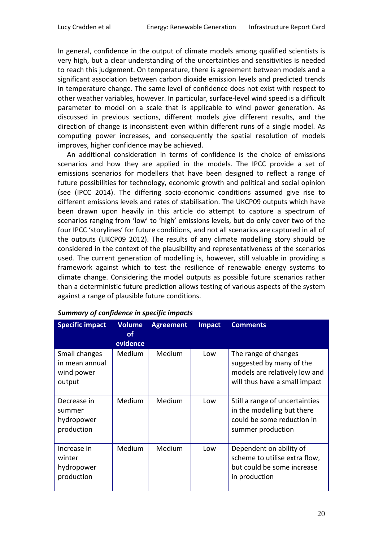In general, confidence in the output of climate models among qualified scientists is very high, but a clear understanding of the uncertainties and sensitivities is needed to reach this judgement. On temperature, there is agreement between models and a significant association between carbon dioxide emission levels and predicted trends in temperature change. The same level of confidence does not exist with respect to other weather variables, however. In particular, surface-level wind speed is a difficult parameter to model on a scale that is applicable to wind power generation. As discussed in previous sections, different models give different results, and the direction of change is inconsistent even within different runs of a single model. As computing power increases, and consequently the spatial resolution of models improves, higher confidence may be achieved.

An additional consideration in terms of confidence is the choice of emissions scenarios and how they are applied in the models. The IPCC provide a set of emissions scenarios for modellers that have been designed to reflect a range of future possibilities for technology, economic growth and political and social opinion (see (IPCC 2014). The differing socio-economic conditions assumed give rise to different emissions levels and rates of stabilisation. The UKCP09 outputs which have been drawn upon heavily in this article do attempt to capture a spectrum of scenarios ranging from 'low' to 'high' emissions levels, but do only cover two of the four IPCC 'storylines' for future conditions, and not all scenarios are captured in all of the outputs (UKCP09 2012). The results of any climate modelling story should be considered in the context of the plausibility and representativeness of the scenarios used. The current generation of modelling is, however, still valuable in providing a framework against which to test the resilience of renewable energy systems to climate change. Considering the model outputs as possible future scenarios rather than a deterministic future prediction allows testing of various aspects of the system against a range of plausible future conditions.

| <b>Specific impact</b>                                  | <b>Volume</b><br><b>of</b><br>evidence | <b>Agreement</b> | <b>Impact</b> | <b>Comments</b>                                                                                                    |
|---------------------------------------------------------|----------------------------------------|------------------|---------------|--------------------------------------------------------------------------------------------------------------------|
| Small changes<br>in mean annual<br>wind power<br>output | <b>Medium</b>                          | Medium           | Low           | The range of changes<br>suggested by many of the<br>models are relatively low and<br>will thus have a small impact |
| Decrease in<br>summer<br>hydropower<br>production       | <b>Medium</b>                          | Medium           | Low           | Still a range of uncertainties<br>in the modelling but there<br>could be some reduction in<br>summer production    |
| Increase in<br>winter<br>hydropower<br>production       | Medium                                 | Medium           | Low           | Dependent on ability of<br>scheme to utilise extra flow,<br>but could be some increase<br>in production            |

## *Summary of confidence in specific impacts*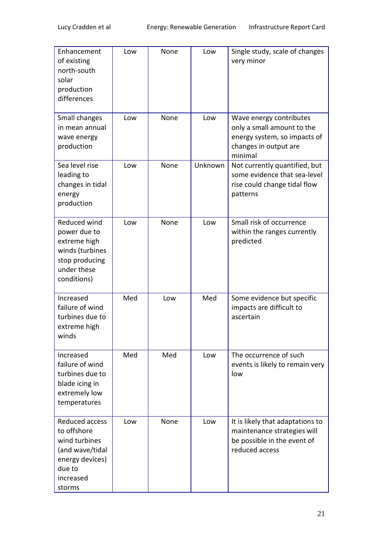| Enhancement<br>of existing<br>north-south<br>solar<br>production<br>differences                                       | Low | None | Low     | Single study, scale of changes<br>very minor                                                                              |
|-----------------------------------------------------------------------------------------------------------------------|-----|------|---------|---------------------------------------------------------------------------------------------------------------------------|
| Small changes<br>in mean annual<br>wave energy<br>production                                                          | Low | None | Low     | Wave energy contributes<br>only a small amount to the<br>energy system, so impacts of<br>changes in output are<br>minimal |
| Sea level rise<br>leading to<br>changes in tidal<br>energy<br>production                                              | Low | None | Unknown | Not currently quantified, but<br>some evidence that sea-level<br>rise could change tidal flow<br>patterns                 |
| Reduced wind<br>power due to<br>extreme high<br>winds (turbines<br>stop producing<br>under these<br>conditions)       | Low | None | Low     | Small risk of occurrence<br>within the ranges currently<br>predicted                                                      |
| Increased<br>failure of wind<br>turbines due to<br>extreme high<br>winds                                              | Med | Low  | Med     | Some evidence but specific<br>impacts are difficult to<br>ascertain                                                       |
| Increased<br>failure of wind<br>turbines due to<br>blade icing in<br>extremely low<br>temperatures                    | Med | Med  | Low     | The occurrence of such<br>events is likely to remain very<br>low                                                          |
| Reduced access<br>to offshore<br>wind turbines<br>(and wave/tidal<br>energy devices)<br>due to<br>increased<br>storms | Low | None | Low     | It is likely that adaptations to<br>maintenance strategies will<br>be possible in the event of<br>reduced access          |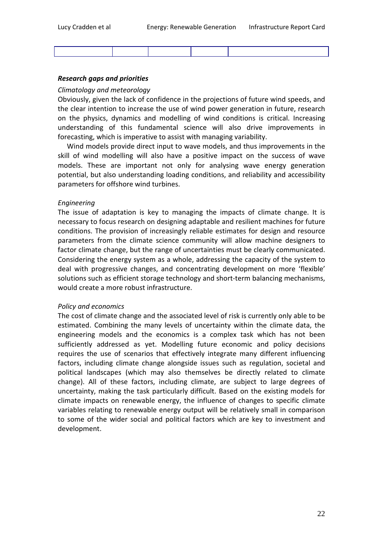#### *Research gaps and priorities*

#### *Climatology and meteorology*

Obviously, given the lack of confidence in the projections of future wind speeds, and the clear intention to increase the use of wind power generation in future, research on the physics, dynamics and modelling of wind conditions is critical. Increasing understanding of this fundamental science will also drive improvements in forecasting, which is imperative to assist with managing variability.

Wind models provide direct input to wave models, and thus improvements in the skill of wind modelling will also have a positive impact on the success of wave models. These are important not only for analysing wave energy generation potential, but also understanding loading conditions, and reliability and accessibility parameters for offshore wind turbines.

#### *Engineering*

The issue of adaptation is key to managing the impacts of climate change. It is necessary to focus research on designing adaptable and resilient machines for future conditions. The provision of increasingly reliable estimates for design and resource parameters from the climate science community will allow machine designers to factor climate change, but the range of uncertainties must be clearly communicated. Considering the energy system as a whole, addressing the capacity of the system to deal with progressive changes, and concentrating development on more 'flexible' solutions such as efficient storage technology and short-term balancing mechanisms, would create a more robust infrastructure.

#### *Policy and economics*

The cost of climate change and the associated level of risk is currently only able to be estimated. Combining the many levels of uncertainty within the climate data, the engineering models and the economics is a complex task which has not been sufficiently addressed as yet. Modelling future economic and policy decisions requires the use of scenarios that effectively integrate many different influencing factors, including climate change alongside issues such as regulation, societal and political landscapes (which may also themselves be directly related to climate change). All of these factors, including climate, are subject to large degrees of uncertainty, making the task particularly difficult. Based on the existing models for climate impacts on renewable energy, the influence of changes to specific climate variables relating to renewable energy output will be relatively small in comparison to some of the wider social and political factors which are key to investment and development.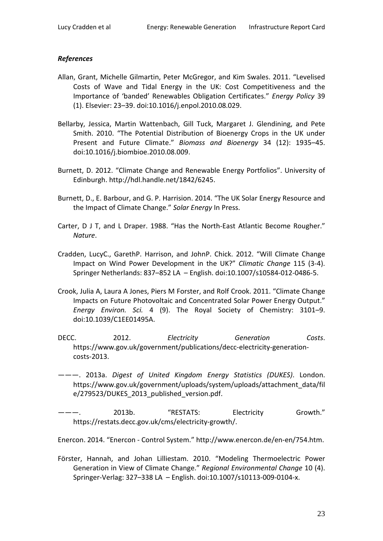## *References*

- Allan, Grant, Michelle Gilmartin, Peter McGregor, and Kim Swales. 2011. "Levelised Costs of Wave and Tidal Energy in the UK: Cost Competitiveness and the Importance of 'banded' Renewables Obligation Certificates." *Energy Policy* 39 (1). Elsevier: 23–39. doi:10.1016/j.enpol.2010.08.029.
- Bellarby, Jessica, Martin Wattenbach, Gill Tuck, Margaret J. Glendining, and Pete Smith. 2010. "The Potential Distribution of Bioenergy Crops in the UK under Present and Future Climate." *Biomass and Bioenergy* 34 (12): 1935–45. doi:10.1016/j.biombioe.2010.08.009.
- Burnett, D. 2012. "Climate Change and Renewable Energy Portfolios". University of Edinburgh. http://hdl.handle.net/1842/6245.
- Burnett, D., E. Barbour, and G. P. Harrision. 2014. "The UK Solar Energy Resource and the Impact of Climate Change." *Solar Energy* In Press.
- Carter, D J T, and L Draper. 1988. "Has the North-East Atlantic Become Rougher." *Nature*.
- Cradden, LucyC., GarethP. Harrison, and JohnP. Chick. 2012. "Will Climate Change Impact on Wind Power Development in the UK?" *Climatic Change* 115 (3-4). Springer Netherlands: 837–852 LA – English. doi:10.1007/s10584-012-0486-5.
- Crook, Julia A, Laura A Jones, Piers M Forster, and Rolf Crook. 2011. "Climate Change Impacts on Future Photovoltaic and Concentrated Solar Power Energy Output." *Energy Environ. Sci.* 4 (9). The Royal Society of Chemistry: 3101–9. doi:10.1039/C1EE01495A.
- DECC. 2012. *Electricity Generation Costs*. https://www.gov.uk/government/publications/decc-electricity-generationcosts-2013.
- ———. 2013a. *Digest of United Kingdom Energy Statistics (DUKES)*. London. https://www.gov.uk/government/uploads/system/uploads/attachment\_data/fil e/279523/DUKES 2013 published version.pdf.
- 2013b. "RESTATS: Electricity Growth." https://restats.decc.gov.uk/cms/electricity-growth/.

Enercon. 2014. "Enercon - Control System." http://www.enercon.de/en-en/754.htm.

Förster, Hannah, and Johan Lilliestam. 2010. "Modeling Thermoelectric Power Generation in View of Climate Change." *Regional Environmental Change* 10 (4). Springer-Verlag: 327–338 LA – English. doi:10.1007/s10113-009-0104-x.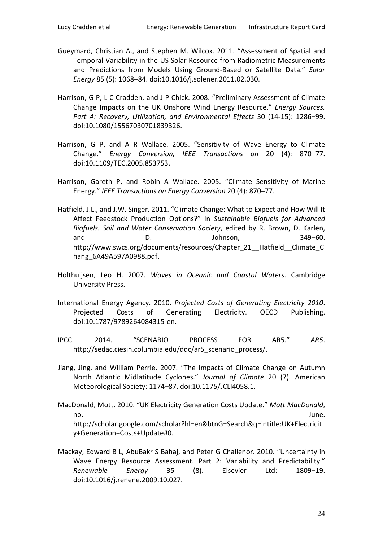- Gueymard, Christian A., and Stephen M. Wilcox. 2011. "Assessment of Spatial and Temporal Variability in the US Solar Resource from Radiometric Measurements and Predictions from Models Using Ground-Based or Satellite Data." *Solar Energy* 85 (5): 1068–84. doi:10.1016/j.solener.2011.02.030.
- Harrison, G P, L C Cradden, and J P Chick. 2008. "Preliminary Assessment of Climate Change Impacts on the UK Onshore Wind Energy Resource." *Energy Sources, Part A: Recovery, Utilization, and Environmental Effects* 30 (14-15): 1286–99. doi:10.1080/15567030701839326.
- Harrison, G P, and A R Wallace. 2005. "Sensitivity of Wave Energy to Climate Change." *Energy Conversion, IEEE Transactions on* 20 (4): 870–77. doi:10.1109/TEC.2005.853753.
- Harrison, Gareth P, and Robin A Wallace. 2005. "Climate Sensitivity of Marine Energy." *IEEE Transactions on Energy Conversion* 20 (4): 870–77.
- Hatfield, J.L., and J.W. Singer. 2011. "Climate Change: What to Expect and How Will It Affect Feedstock Production Options?" In *Sustainable Biofuels for Advanced Biofuels. Soil and Water Conservation Society*, edited by R. Brown, D. Karlen, and D. D. Johnson, 349–60. http://www.swcs.org/documents/resources/Chapter\_21\_\_Hatfield\_\_Climate\_C hang 6A49A597A0988.pdf.
- Holthuijsen, Leo H. 2007. *Waves in Oceanic and Coastal Waters*. Cambridge University Press.
- International Energy Agency. 2010. *Projected Costs of Generating Electricity 2010*. Projected Costs of Generating Electricity. OECD Publishing. doi:10.1787/9789264084315-en.
- IPCC. 2014. "SCENARIO PROCESS FOR AR5." *AR5*. http://sedac.ciesin.columbia.edu/ddc/ar5 scenario process/.
- Jiang, Jing, and William Perrie. 2007. "The Impacts of Climate Change on Autumn North Atlantic Midlatitude Cyclones." *Journal of Climate* 20 (7). American Meteorological Society: 1174–87. doi:10.1175/JCLI4058.1.
- MacDonald, Mott. 2010. "UK Electricity Generation Costs Update." *Mott MacDonald*, no. June. http://scholar.google.com/scholar?hl=en&btnG=Search&q=intitle:UK+Electricit y+Generation+Costs+Update#0.
- Mackay, Edward B L, AbuBakr S Bahaj, and Peter G Challenor. 2010. "Uncertainty in Wave Energy Resource Assessment. Part 2: Variability and Predictability." *Renewable Energy* 35 (8). Elsevier Ltd: 1809–19. doi:10.1016/j.renene.2009.10.027.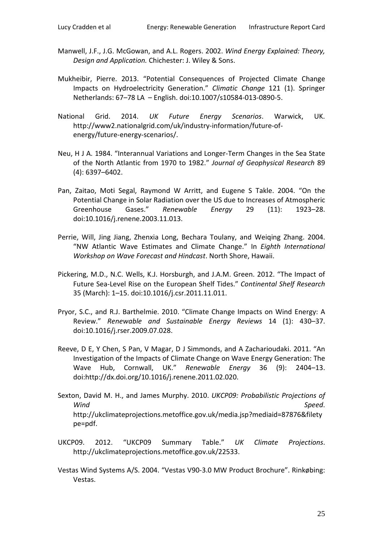- Manwell, J.F., J.G. McGowan, and A.L. Rogers. 2002. *Wind Energy Explained: Theory, Design and Application.* Chichester: J. Wiley & Sons.
- Mukheibir, Pierre. 2013. "Potential Consequences of Projected Climate Change Impacts on Hydroelectricity Generation." *Climatic Change* 121 (1). Springer Netherlands: 67–78 LA – English. doi:10.1007/s10584-013-0890-5.
- National Grid. 2014. *UK Future Energy Scenarios*. Warwick, UK. http://www2.nationalgrid.com/uk/industry-information/future-ofenergy/future-energy-scenarios/.
- Neu, H J A. 1984. "Interannual Variations and Longer-Term Changes in the Sea State of the North Atlantic from 1970 to 1982." *Journal of Geophysical Research* 89 (4): 6397–6402.
- Pan, Zaitao, Moti Segal, Raymond W Arritt, and Eugene S Takle. 2004. "On the Potential Change in Solar Radiation over the US due to Increases of Atmospheric Greenhouse Gases." *Renewable Energy* 29 (11): 1923–28. doi:10.1016/j.renene.2003.11.013.
- Perrie, Will, Jing Jiang, Zhenxia Long, Bechara Toulany, and Weiqing Zhang. 2004. "NW Atlantic Wave Estimates and Climate Change." In *Eighth International Workshop on Wave Forecast and Hindcast*. North Shore, Hawaii.
- Pickering, M.D., N.C. Wells, K.J. Horsburgh, and J.A.M. Green. 2012. "The Impact of Future Sea-Level Rise on the European Shelf Tides." *Continental Shelf Research* 35 (March): 1–15. doi:10.1016/j.csr.2011.11.011.
- Pryor, S.C., and R.J. Barthelmie. 2010. "Climate Change Impacts on Wind Energy: A Review." *Renewable and Sustainable Energy Reviews* 14 (1): 430–37. doi:10.1016/j.rser.2009.07.028.
- Reeve, D E, Y Chen, S Pan, V Magar, D J Simmonds, and A Zacharioudaki. 2011. "An Investigation of the Impacts of Climate Change on Wave Energy Generation: The Wave Hub, Cornwall, UK." *Renewable Energy* 36 (9): 2404–13. doi:http://dx.doi.org/10.1016/j.renene.2011.02.020.
- Sexton, David M. H., and James Murphy. 2010. *UKCP09: Probabilistic Projections of Wind Speed*. http://ukclimateprojections.metoffice.gov.uk/media.jsp?mediaid=87876&filety pe=pdf.
- UKCP09. 2012. "UKCP09 Summary Table." *UK Climate Projections*. http://ukclimateprojections.metoffice.gov.uk/22533.
- Vestas Wind Systems A/S. 2004. "Vestas V90-3.0 MW Product Brochure". Rinkøbing: Vestas.